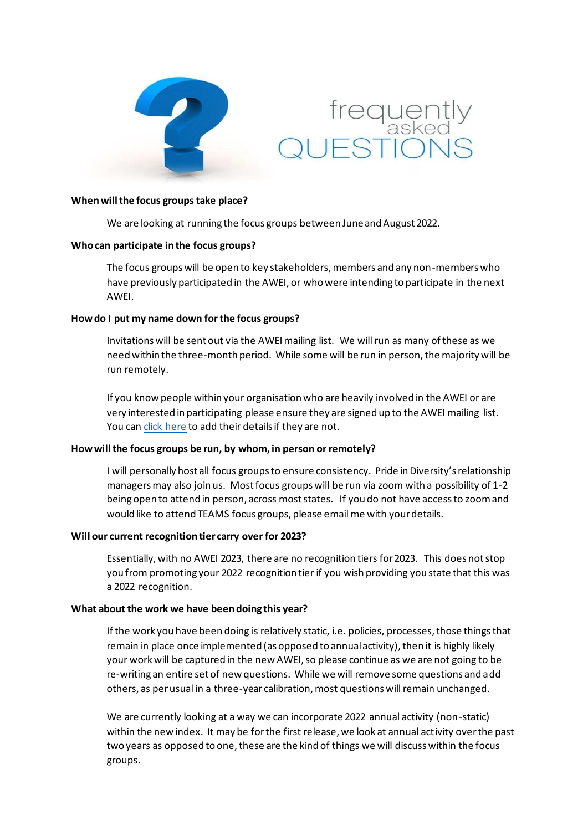



### **When will the focus groups take place?**

We are looking at running the focus groups between June and August 2022.

### **Who can participate in the focus groups?**

The focus groups will be open to key stakeholders, members and any non-members who have previously participated in the AWEI, or who were intending to participate in the next AWEI.

## **How do I put my name down for the focus groups?**

Invitations will be sent out via the AWEI mailing list. We will run as many of these as we need within the three-month period. While some will be run in person, the majority will be run remotely.

If you know people within your organisation who are heavily involved in the AWEI or are very interested in participating please ensure they are signed up to the AWEI mailing list. You ca[n click here](https://prideindiversity.us2.list-manage.com/subscribe?u=f3c12df177f8acac2918396c7&id=a51bcba6bf) to add their details if they are not.

## **How will the focus groups be run, by whom, in person or remotely?**

I will personally host all focus groups to ensure consistency. Pride in Diversity's relationship managers may also join us. Most focus groups will be run via zoom with a possibility of 1-2 being open to attend in person, across most states. If you do not have access to zoom and would like to attend TEAMS focus groups, please email me with your details.

## **Will our current recognition tier carry over for 2023?**

Essentially, with no AWEI 2023, there are no recognition tiers for 2023. This does not stop you from promoting your 2022 recognition tier if you wish providing you state that this was a 2022 recognition.

## **What about the work we have been doing this year?**

If the work you have been doing is relatively static, i.e. policies, processes, those things that remain in place once implemented (as opposed to annual activity), then it is highly likely your work will be captured in the new AWEI, so please continue as we are not going to be re-writing an entire set of new questions. While we will remove some questions and add others, as per usual in a three-year calibration, most questions will remain unchanged.

We are currently looking at a way we can incorporate 2022 annual activity (non-static) within the new index. It may be for the first release, we look at annual activity over the past two years as opposed to one, these are the kind of things we will discuss within the focus groups.